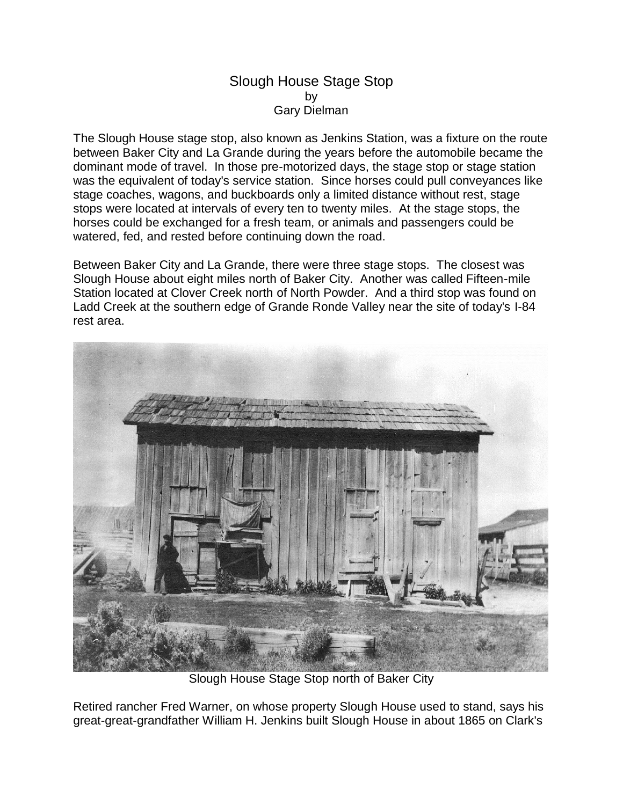## Slough House Stage Stop by Gary Dielman

The Slough House stage stop, also known as Jenkins Station, was a fixture on the route between Baker City and La Grande during the years before the automobile became the dominant mode of travel. In those pre-motorized days, the stage stop or stage station was the equivalent of today's service station. Since horses could pull conveyances like stage coaches, wagons, and buckboards only a limited distance without rest, stage stops were located at intervals of every ten to twenty miles. At the stage stops, the horses could be exchanged for a fresh team, or animals and passengers could be watered, fed, and rested before continuing down the road.

Between Baker City and La Grande, there were three stage stops. The closest was Slough House about eight miles north of Baker City. Another was called Fifteen-mile Station located at Clover Creek north of North Powder. And a third stop was found on Ladd Creek at the southern edge of Grande Ronde Valley near the site of today's I-84 rest area.



Slough House Stage Stop north of Baker City

Retired rancher Fred Warner, on whose property Slough House used to stand, says his great-great-grandfather William H. Jenkins built Slough House in about 1865 on Clark's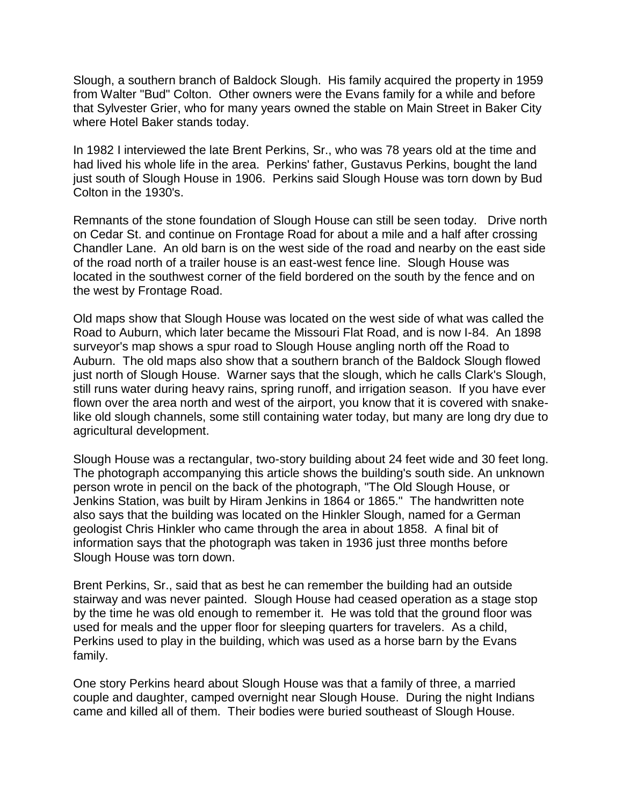Slough, a southern branch of Baldock Slough. His family acquired the property in 1959 from Walter "Bud" Colton. Other owners were the Evans family for a while and before that Sylvester Grier, who for many years owned the stable on Main Street in Baker City where Hotel Baker stands today.

In 1982 I interviewed the late Brent Perkins, Sr., who was 78 years old at the time and had lived his whole life in the area. Perkins' father, Gustavus Perkins, bought the land just south of Slough House in 1906. Perkins said Slough House was torn down by Bud Colton in the 1930's.

Remnants of the stone foundation of Slough House can still be seen today. Drive north on Cedar St. and continue on Frontage Road for about a mile and a half after crossing Chandler Lane. An old barn is on the west side of the road and nearby on the east side of the road north of a trailer house is an east-west fence line. Slough House was located in the southwest corner of the field bordered on the south by the fence and on the west by Frontage Road.

Old maps show that Slough House was located on the west side of what was called the Road to Auburn, which later became the Missouri Flat Road, and is now I-84. An 1898 surveyor's map shows a spur road to Slough House angling north off the Road to Auburn. The old maps also show that a southern branch of the Baldock Slough flowed just north of Slough House. Warner says that the slough, which he calls Clark's Slough, still runs water during heavy rains, spring runoff, and irrigation season. If you have ever flown over the area north and west of the airport, you know that it is covered with snakelike old slough channels, some still containing water today, but many are long dry due to agricultural development.

Slough House was a rectangular, two-story building about 24 feet wide and 30 feet long. The photograph accompanying this article shows the building's south side. An unknown person wrote in pencil on the back of the photograph, "The Old Slough House, or Jenkins Station, was built by Hiram Jenkins in 1864 or 1865." The handwritten note also says that the building was located on the Hinkler Slough, named for a German geologist Chris Hinkler who came through the area in about 1858. A final bit of information says that the photograph was taken in 1936 just three months before Slough House was torn down.

Brent Perkins, Sr., said that as best he can remember the building had an outside stairway and was never painted. Slough House had ceased operation as a stage stop by the time he was old enough to remember it. He was told that the ground floor was used for meals and the upper floor for sleeping quarters for travelers. As a child, Perkins used to play in the building, which was used as a horse barn by the Evans family.

One story Perkins heard about Slough House was that a family of three, a married couple and daughter, camped overnight near Slough House. During the night Indians came and killed all of them. Their bodies were buried southeast of Slough House.